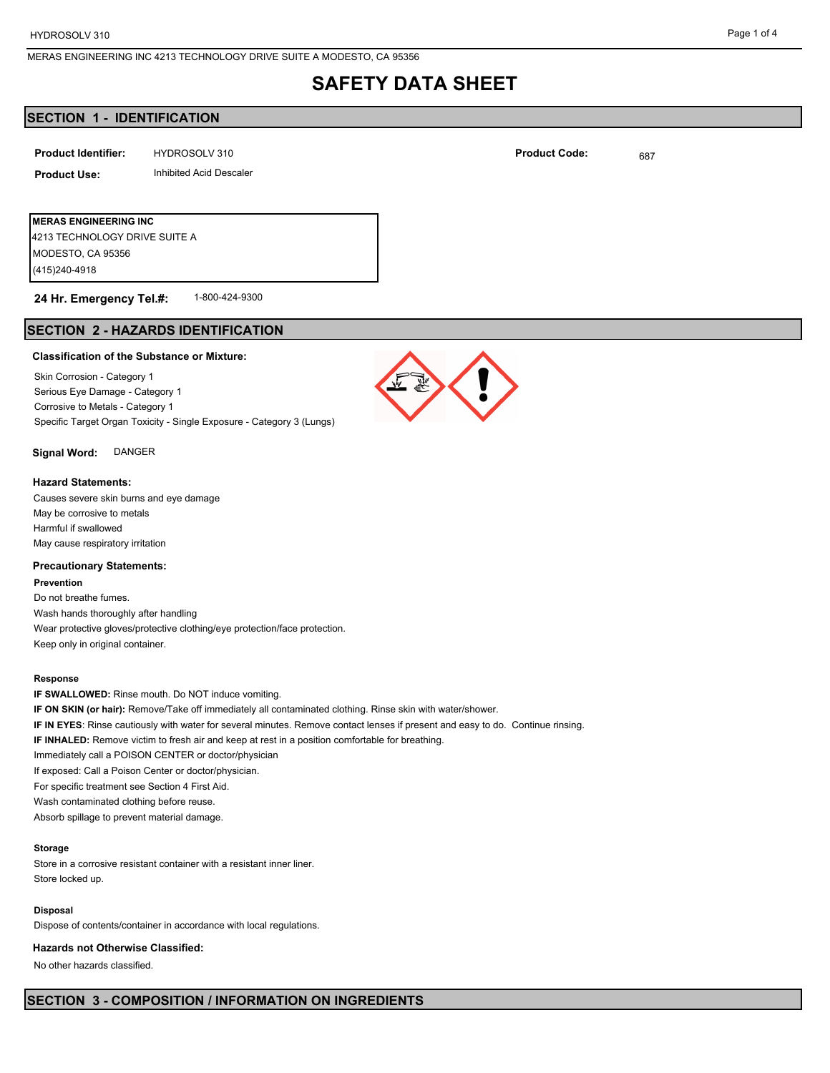# **SAFETY DATA SHEET**

# **SECTION 1 - IDENTIFICATION**

| <b>Product Identifier:</b> | HYDROSOLV 310 | <b>Product Code:</b> | 687 |
|----------------------------|---------------|----------------------|-----|
|----------------------------|---------------|----------------------|-----|

## **Product Use:** Inhibited Acid Descaler

**MERAS ENGINEERING INC** (415)240-4918 MODESTO, CA 95356 4213 TECHNOLOGY DRIVE SUITE A

#### 1-800-424-9300 **24 Hr. Emergency Tel.#:**

# **SECTION 2 - HAZARDS IDENTIFICATION**

#### **Classification of the Substance or Mixture:**

Skin Corrosion - Category 1 Serious Eye Damage - Category 1 Corrosive to Metals - Category 1 Specific Target Organ Toxicity - Single Exposure - Category 3 (Lungs)

#### **Signal Word:** DANGER

#### **Hazard Statements:**

Causes severe skin burns and eye damage May be corrosive to metals Harmful if swallowed May cause respiratory irritation

#### **Precautionary Statements:**

**Prevention** Do not breathe fumes. Wash hands thoroughly after handling Wear protective gloves/protective clothing/eye protection/face protection. Keep only in original container.

#### **Response**

**IF SWALLOWED:** Rinse mouth. Do NOT induce vomiting. **IF ON SKIN (or hair):** Remove/Take off immediately all contaminated clothing. Rinse skin with water/shower. **IF IN EYES**: Rinse cautiously with water for several minutes. Remove contact lenses if present and easy to do. Continue rinsing. **IF INHALED:** Remove victim to fresh air and keep at rest in a position comfortable for breathing. Immediately call a POISON CENTER or doctor/physician If exposed: Call a Poison Center or doctor/physician. For specific treatment see Section 4 First Aid. Wash contaminated clothing before reuse. Absorb spillage to prevent material damage.

#### **Storage**

Store in a corrosive resistant container with a resistant inner liner. Store locked up.

#### **Disposal**

Dispose of contents/container in accordance with local regulations.

#### **Hazards not Otherwise Classified:**

No other hazards classified.



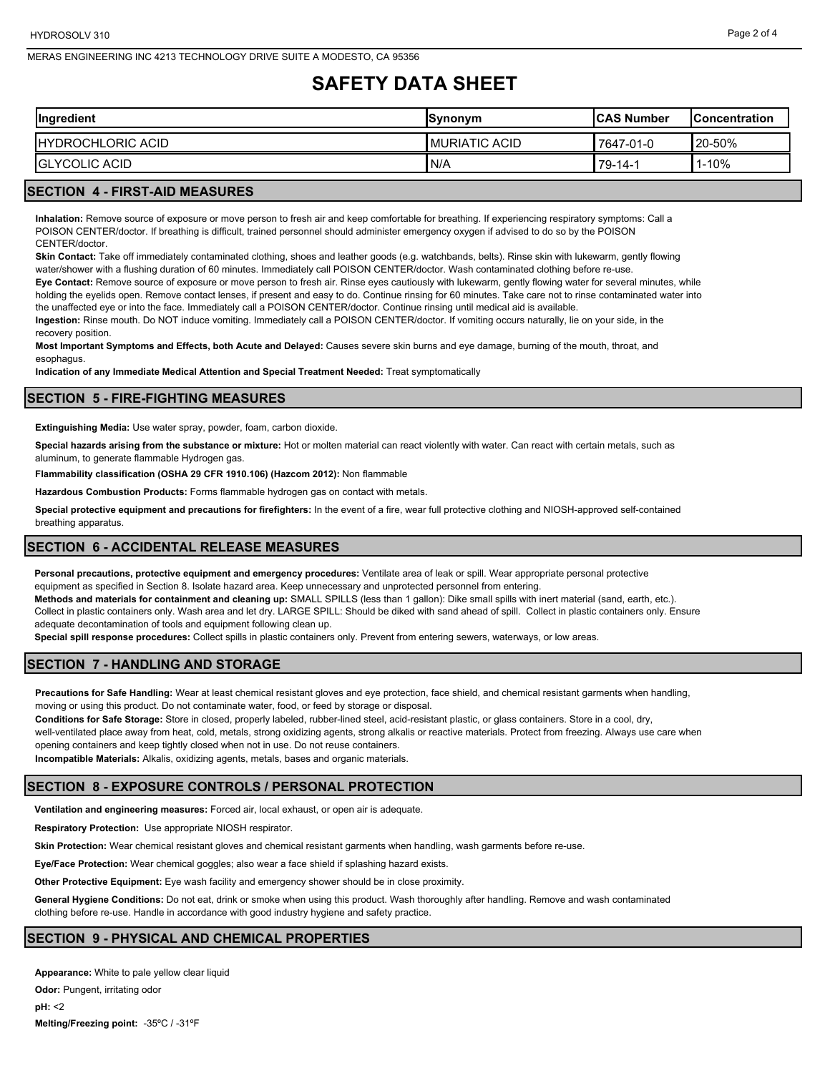# **SAFETY DATA SHEET**

| Ingredient                | <b>Synonym</b>  | <b>ICAS Number</b> | <b>IConcentration</b> |
|---------------------------|-----------------|--------------------|-----------------------|
| <b>IHYDROCHLORIC ACID</b> | I MURIATIC ACID | 7647-01-0          | <b>20-50%</b>         |
| <b>GLYCOLIC ACID</b>      | I N/A           | 79-14-1            | $1 - 10%$             |

# **SECTION 4 - FIRST-AID MEASURES**

**Inhalation:** Remove source of exposure or move person to fresh air and keep comfortable for breathing. If experiencing respiratory symptoms: Call a POISON CENTER/doctor. If breathing is difficult, trained personnel should administer emergency oxygen if advised to do so by the POISON CENTER/doctor.

**Skin Contact:** Take off immediately contaminated clothing, shoes and leather goods (e.g. watchbands, belts). Rinse skin with lukewarm, gently flowing water/shower with a flushing duration of 60 minutes. Immediately call POISON CENTER/doctor. Wash contaminated clothing before re-use.

**Eye Contact:** Remove source of exposure or move person to fresh air. Rinse eyes cautiously with lukewarm, gently flowing water for several minutes, while holding the eyelids open. Remove contact lenses, if present and easy to do. Continue rinsing for 60 minutes. Take care not to rinse contaminated water into the unaffected eye or into the face. Immediately call a POISON CENTER/doctor. Continue rinsing until medical aid is available.

**Ingestion:** Rinse mouth. Do NOT induce vomiting. Immediately call a POISON CENTER/doctor. If vomiting occurs naturally, lie on your side, in the recovery position.

**Most Important Symptoms and Effects, both Acute and Delayed:** Causes severe skin burns and eye damage, burning of the mouth, throat, and esophagus.

**Indication of any Immediate Medical Attention and Special Treatment Needed:** Treat symptomatically

### **SECTION 5 - FIRE-FIGHTING MEASURES**

**Extinguishing Media:** Use water spray, powder, foam, carbon dioxide.

**Special hazards arising from the substance or mixture:** Hot or molten material can react violently with water. Can react with certain metals, such as aluminum, to generate flammable Hydrogen gas.

**Flammability classification (OSHA 29 CFR 1910.106) (Hazcom 2012):** Non flammable

**Hazardous Combustion Products:** Forms flammable hydrogen gas on contact with metals.

**Special protective equipment and precautions for firefighters:** In the event of a fire, wear full protective clothing and NIOSH-approved self-contained breathing apparatus.

#### **SECTION 6 - ACCIDENTAL RELEASE MEASURES**

**Personal precautions, protective equipment and emergency procedures:** Ventilate area of leak or spill. Wear appropriate personal protective equipment as specified in Section 8. Isolate hazard area. Keep unnecessary and unprotected personnel from entering.

**Methods and materials for containment and cleaning up:** SMALL SPILLS (less than 1 gallon): Dike small spills with inert material (sand, earth, etc.). Collect in plastic containers only. Wash area and let dry. LARGE SPILL: Should be diked with sand ahead of spill. Collect in plastic containers only. Ensure adequate decontamination of tools and equipment following clean up.

**Special spill response procedures:** Collect spills in plastic containers only. Prevent from entering sewers, waterways, or low areas.

# **SECTION 7 - HANDLING AND STORAGE**

**Precautions for Safe Handling:** Wear at least chemical resistant gloves and eye protection, face shield, and chemical resistant garments when handling, moving or using this product. Do not contaminate water, food, or feed by storage or disposal.

**Conditions for Safe Storage:** Store in closed, properly labeled, rubber-lined steel, acid-resistant plastic, or glass containers. Store in a cool, dry,

well-ventilated place away from heat, cold, metals, strong oxidizing agents, strong alkalis or reactive materials. Protect from freezing. Always use care when opening containers and keep tightly closed when not in use. Do not reuse containers.

**Incompatible Materials:** Alkalis, oxidizing agents, metals, bases and organic materials.

# **SECTION 8 - EXPOSURE CONTROLS / PERSONAL PROTECTION**

**Ventilation and engineering measures:** Forced air, local exhaust, or open air is adequate.

**Respiratory Protection:** Use appropriate NIOSH respirator.

**Skin Protection:** Wear chemical resistant gloves and chemical resistant garments when handling, wash garments before re-use.

**Eye/Face Protection:** Wear chemical goggles; also wear a face shield if splashing hazard exists.

**Other Protective Equipment:** Eye wash facility and emergency shower should be in close proximity.

**General Hygiene Conditions:** Do not eat, drink or smoke when using this product. Wash thoroughly after handling. Remove and wash contaminated clothing before re-use. Handle in accordance with good industry hygiene and safety practice.

#### **SECTION 9 - PHYSICAL AND CHEMICAL PROPERTIES**

**Appearance:** White to pale yellow clear liquid **Odor:** Pungent, irritating odor **pH:** <2 **Melting/Freezing point:** -35ºC / -31ºF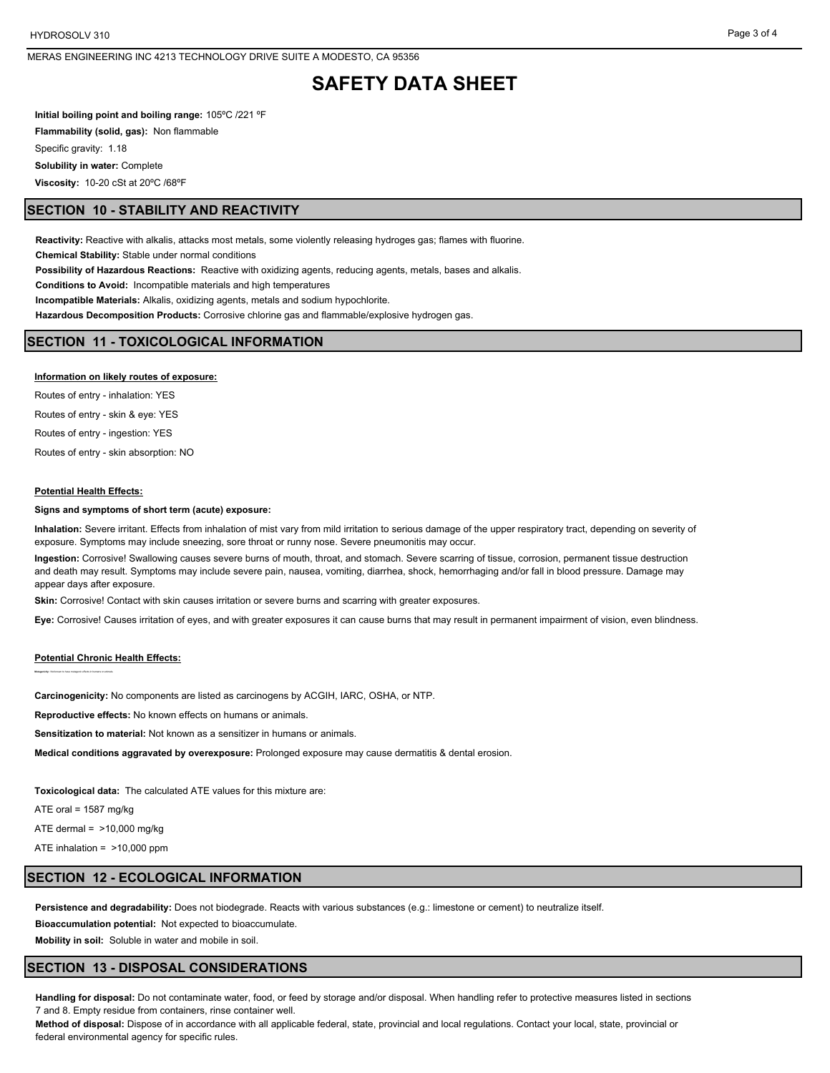# **SAFETY DATA SHEET**

**Initial boiling point and boiling range:** 105ºC /221 ºF **Flammability (solid, gas):** Non flammable Specific gravity: 1.18 **Solubility in water:** Complete **Viscosity:** 10-20 cSt at 20ºC /68ºF

## **SECTION 10 - STABILITY AND REACTIVITY**

**Reactivity:** Reactive with alkalis, attacks most metals, some violently releasing hydroges gas; flames with fluorine.

**Chemical Stability:** Stable under normal conditions

**Possibility of Hazardous Reactions:** Reactive with oxidizing agents, reducing agents, metals, bases and alkalis.

**Conditions to Avoid:** Incompatible materials and high temperatures

**Incompatible Materials:** Alkalis, oxidizing agents, metals and sodium hypochlorite.

**Hazardous Decomposition Products:** Corrosive chlorine gas and flammable/explosive hydrogen gas.

# **SECTION 11 - TOXICOLOGICAL INFORMATION**

#### **Information on likely routes of exposure:**

Routes of entry - inhalation: YES Routes of entry - skin & eye: YES Routes of entry - ingestion: YES

Routes of entry - skin absorption: NO

#### **Potential Health Effects:**

#### **Signs and symptoms of short term (acute) exposure:**

**Inhalation:** Severe irritant. Effects from inhalation of mist vary from mild irritation to serious damage of the upper respiratory tract, depending on severity of exposure. Symptoms may include sneezing, sore throat or runny nose. Severe pneumonitis may occur.

**Ingestion:** Corrosive! Swallowing causes severe burns of mouth, throat, and stomach. Severe scarring of tissue, corrosion, permanent tissue destruction and death may result. Symptoms may include severe pain, nausea, vomiting, diarrhea, shock, hemorrhaging and/or fall in blood pressure. Damage may appear days after exposure.

**Skin:** Corrosive! Contact with skin causes irritation or severe burns and scarring with greater exposures.

**Eye:** Corrosive! Causes irritation of eyes, and with greater exposures it can cause burns that may result in permanent impairment of vision, even blindness.

#### **Potential Chronic Health Effects:**

**Mutagenicity:** Not known to have mutagenic effects in humans or animals.

**Carcinogenicity:** No components are listed as carcinogens by ACGIH, IARC, OSHA, or NTP.

**Reproductive effects:** No known effects on humans or animals.

**Sensitization to material:** Not known as a sensitizer in humans or animals.

**Medical conditions aggravated by overexposure:** Prolonged exposure may cause dermatitis & dental erosion.

**Toxicological data:** The calculated ATE values for this mixture are:

ATE oral =  $1587 \text{ mg/kg}$ 

ATE dermal = >10,000 mg/kg

ATE inhalation = >10,000 ppm

#### **SECTION 12 - ECOLOGICAL INFORMATION**

**Persistence and degradability:** Does not biodegrade. Reacts with various substances (e.g.: limestone or cement) to neutralize itself.

**Bioaccumulation potential:** Not expected to bioaccumulate.

**Mobility in soil:** Soluble in water and mobile in soil.

# **SECTION 13 - DISPOSAL CONSIDERATIONS**

**Handling for disposal:** Do not contaminate water, food, or feed by storage and/or disposal. When handling refer to protective measures listed in sections 7 and 8. Empty residue from containers, rinse container well.

**Method of disposal:** Dispose of in accordance with all applicable federal, state, provincial and local regulations. Contact your local, state, provincial or federal environmental agency for specific rules.